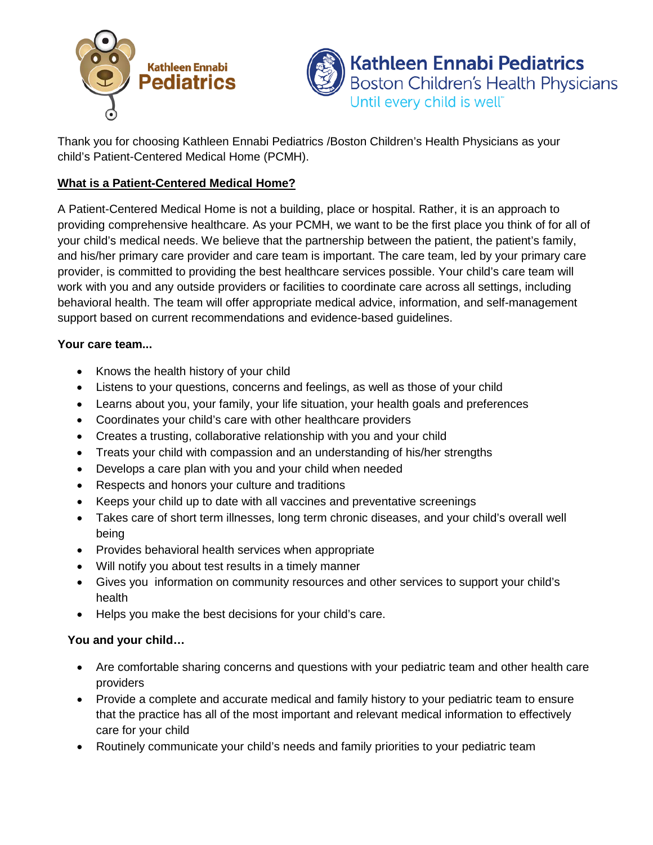



Thank you for choosing Kathleen Ennabi Pediatrics /Boston Children's Health Physicians as your child's Patient-Centered Medical Home (PCMH).

## **What is a Patient-Centered Medical Home?**

A Patient-Centered Medical Home is not a building, place or hospital. Rather, it is an approach to providing comprehensive healthcare. As your PCMH, we want to be the first place you think of for all of your child's medical needs. We believe that the partnership between the patient, the patient's family, and his/her primary care provider and care team is important. The care team, led by your primary care provider, is committed to providing the best healthcare services possible. Your child's care team will work with you and any outside providers or facilities to coordinate care across all settings, including behavioral health. The team will offer appropriate medical advice, information, and self-management support based on current recommendations and evidence-based guidelines.

## **Your care team...**

- Knows the health history of your child
- Listens to your questions, concerns and feelings, as well as those of your child
- Learns about you, your family, your life situation, your health goals and preferences
- Coordinates your child's care with other healthcare providers
- Creates a trusting, collaborative relationship with you and your child
- Treats your child with compassion and an understanding of his/her strengths
- Develops a care plan with you and your child when needed
- Respects and honors your culture and traditions
- Keeps your child up to date with all vaccines and preventative screenings
- Takes care of short term illnesses, long term chronic diseases, and your child's overall well being
- Provides behavioral health services when appropriate
- Will notify you about test results in a timely manner
- Gives you information on community resources and other services to support your child's health
- Helps you make the best decisions for your child's care.

## **You and your child…**

- Are comfortable sharing concerns and questions with your pediatric team and other health care providers
- Provide a complete and accurate medical and family history to your pediatric team to ensure that the practice has all of the most important and relevant medical information to effectively care for your child
- Routinely communicate your child's needs and family priorities to your pediatric team